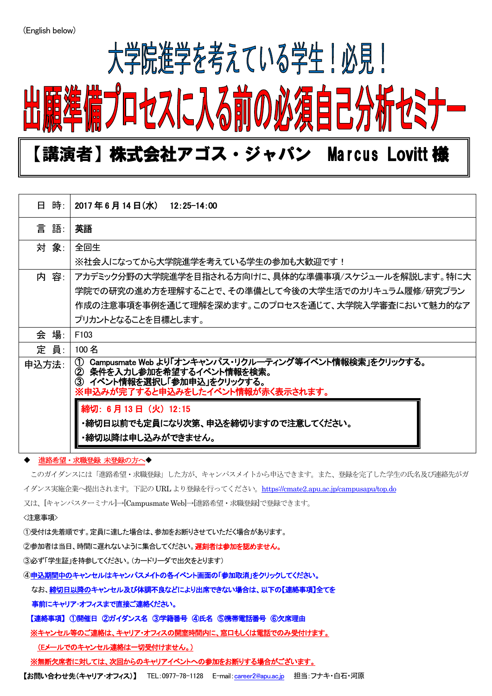$\overline{a}$ 

## 大学院進学を考えている学生!必見! プロセスに入る前の必須自己

### 【講演者】株式会社アゴス・ジャパン Marcus Lovitt 様

| 日 時:  | 2017年6月14日(水)<br>12:25-14:00                                                                                                                                                                                                                                            |
|-------|-------------------------------------------------------------------------------------------------------------------------------------------------------------------------------------------------------------------------------------------------------------------------|
| 言 語:  | 英語                                                                                                                                                                                                                                                                      |
| 対 象:  | 全回生                                                                                                                                                                                                                                                                     |
|       | ※社会人になってから大学院進学を考えている学生の参加も大歓迎です!                                                                                                                                                                                                                                       |
| 内 容:  | アカデミック分野の大学院進学を目指される方向けに、具体的な準備事項/スケジュールを解説します。特に大                                                                                                                                                                                                                      |
|       | 学院での研究の進め方を理解することで、その準備として今後の大学生活でのカリキュラム履修/研究プラン                                                                                                                                                                                                                       |
|       | 作成の注意事項を事例を通じて理解を深めます。このプロセスを通じて、大学院入学審査において魅力的なア                                                                                                                                                                                                                       |
|       | プリカントとなることを目標とします。                                                                                                                                                                                                                                                      |
| 会 場:  | F <sub>103</sub>                                                                                                                                                                                                                                                        |
| 定 員:  | 100 名                                                                                                                                                                                                                                                                   |
| 申込方法: | Campusmate Web より「オンキャンパス・リクルーティング等イベント情報検索」をクリックする。<br>$\bigcirc$<br>条件を入力し参加を希望するイベント情報を検索。<br>$\circledcirc$<br>イベント情報を選択し「参加申込」をクリックする。<br>3<br>※申込みが完了すると申込みをしたイベント情報が赤く表示されます。<br>締切: 6月13日 (火) 12:15<br>・締切日以前でも定員になり次第、申込を締切りますので注意してください。<br>・締切以降は申し込みができません。 |

#### 進路希望・求職登録 未登録の方へ◆

このガイダンスには「進路希望・求職登録」した方が、キャンパスメイトから申込できます。また、登録を完了した学生の氏名及び連絡先がガ イダンス実施企業へ提出されます。下記のURL より登録を行ってください。<https://cmate2.apu.ac.jp/campusapu/top.do>

又は、[キャンパスターミナル]→[Campusmate Web]→[進路希望・求職登録]で登録できます。

#### <注意事項>

①受付は先着順です。定員に達した場合は、参加をお断りさせていただく場合があります。

②参加者は当日、時間に遅れないように集合してください。遅刻者は参加を認めません。

③必ず「学生証」を持参してください。(カードリーダで出欠をとります)

④申込期間中のキャンセルはキャンパスメイトの各イベント画面の「参加取消」をクリックしてください。

なお、締切日以降のキャンセル及び体調不良などにより出席できない場合は、以下の【連絡事項】全てを

事前にキャリア・オフィスまで直接ご連絡ください。

【連絡事項】 ①開催日 ②ガイダンス名 ③学籍番号 ④氏名 ⑤携帯電話番号 ⑥欠席理由

※キャンセル等のご連絡は、キャリア・オフィスの開室時間内に、窓口もしくは電話でのみ受付けます。

(Eメールでのキャンセル連絡は一切受付けません。)

※無断欠席者に対しては、次回からのキャリアイベントへの参加をお断りする場合がございます。

【お問い合わせ先(キャリア・オフィス)】 TEL:0977-78-1128 E-mail:[career2@apu.ac.jp](mailto:career2@apu.ac.jp) 担当:フナキ・白石・河原